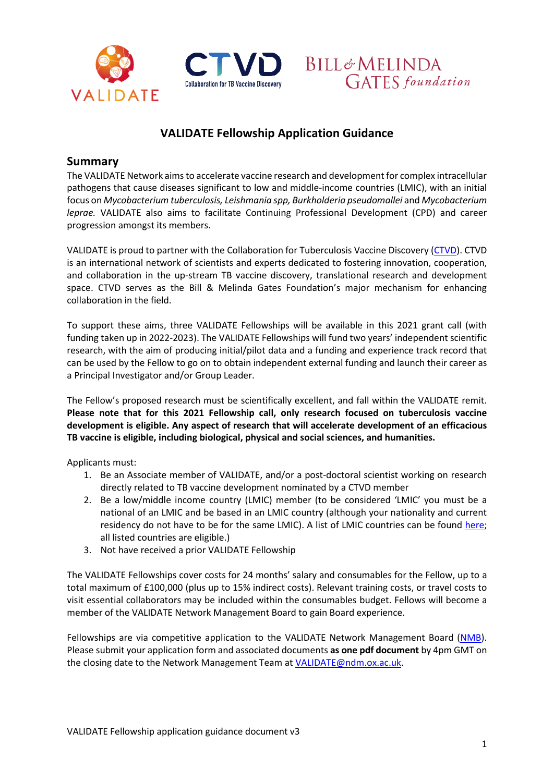





# **VALIDATE Fellowship Application Guidance**

### **Summary**

The VALIDATE Network aims to accelerate vaccine research and development for complex intracellular pathogens that cause diseases significant to low and middle-income countries (LMIC), with an initial focus on *Mycobacterium tuberculosis, Leishmania spp, Burkholderia pseudomallei* and *Mycobacterium leprae.* VALIDATE also aims to facilitate Continuing Professional Development (CPD) and career progression amongst its members.

VALIDATE is proud to partner with the Collaboration for Tuberculosis Vaccine Discovery [\(CTVD\)](https://www.ctvd.org/). CTVD is an international network of scientists and experts dedicated to fostering innovation, cooperation, and collaboration in the up-stream TB vaccine discovery, translational research and development space. CTVD serves as the Bill & Melinda Gates Foundation's major mechanism for enhancing collaboration in the field.

To support these aims, three VALIDATE Fellowships will be available in this 2021 grant call (with funding taken up in 2022-2023). The VALIDATE Fellowships will fund two years' independent scientific research, with the aim of producing initial/pilot data and a funding and experience track record that can be used by the Fellow to go on to obtain independent external funding and launch their career as a Principal Investigator and/or Group Leader.

The Fellow's proposed research must be scientifically excellent, and fall within the VALIDATE remit. **Please note that for this 2021 Fellowship call, only research focused on tuberculosis vaccine development is eligible. Any aspect of research that will accelerate development of an efficacious TB vaccine is eligible, including biological, physical and social sciences, and humanities.** 

Applicants must:

- 1. Be an Associate member of VALIDATE, and/or a post-doctoral scientist working on research directly related to TB vaccine development nominated by a CTVD member
- 2. Be a low/middle income country (LMIC) member (to be considered 'LMIC' you must be a national of an LMIC and be based in an LMIC country (although your nationality and current residency do not have to be for the same LMIC). A list of LMIC countries can be found [here;](https://www.oecd.org/dac/financing-sustainable-development/development-finance-standards/DAC-List-ODA-Recipients-for-reporting-2021-flows.pdf) all listed countries are eligible.)
- 3. Not have received a prior VALIDATE Fellowship

The VALIDATE Fellowships cover costs for 24 months' salary and consumables for the Fellow, up to a total maximum of £100,000 (plus up to 15% indirect costs). Relevant training costs, or travel costs to visit essential collaborators may be included within the consumables budget. Fellows will become a member of the VALIDATE Network Management Board to gain Board experience.

Fellowships are via competitive application to the VALIDATE Network Management Board [\(NMB\)](http://www.validate-network.org/network-management-board). Please submit your application form and associated documents **as one pdf document** by 4pm GMT on the closing date to the Network Management Team at [VALIDATE@ndm.ox.ac.uk.](mailto:VALIDATE@ndm.ox.ac.uk)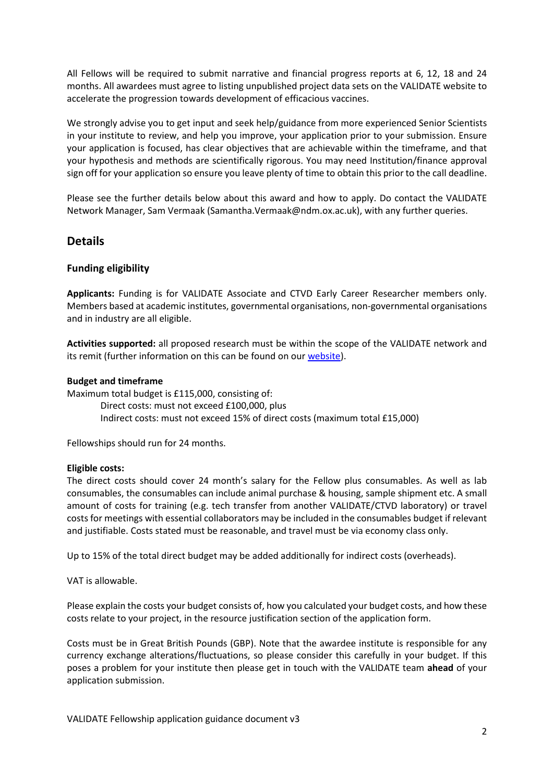All Fellows will be required to submit narrative and financial progress reports at 6, 12, 18 and 24 months. All awardees must agree to listing unpublished project data sets on the VALIDATE website to accelerate the progression towards development of efficacious vaccines.

We strongly advise you to get input and seek help/guidance from more experienced Senior Scientists in your institute to review, and help you improve, your application prior to your submission. Ensure your application is focused, has clear objectives that are achievable within the timeframe, and that your hypothesis and methods are scientifically rigorous. You may need Institution/finance approval sign off for your application so ensure you leave plenty of time to obtain this prior to the call deadline.

Please see the further details below about this award and how to apply. Do contact the VALIDATE Network Manager, Sam Vermaak (Samantha.Vermaak@ndm.ox.ac.uk), with any further queries.

#### **Details**

#### **Funding eligibility**

**Applicants:** Funding is for VALIDATE Associate and CTVD Early Career Researcher members only. Members based at academic institutes, governmental organisations, non-governmental organisations and in industry are all eligible.

**Activities supported:** all proposed research must be within the scope of the VALIDATE network and its remit (further information on this can be found on ou[r website\)](http://www.validate-network.org/about).

#### **Budget and timeframe**

Maximum total budget is £115,000, consisting of: Direct costs: must not exceed £100,000, plus Indirect costs: must not exceed 15% of direct costs (maximum total £15,000)

Fellowships should run for 24 months.

#### **Eligible costs:**

The direct costs should cover 24 month's salary for the Fellow plus consumables. As well as lab consumables, the consumables can include animal purchase & housing, sample shipment etc. A small amount of costs for training (e.g. tech transfer from another VALIDATE/CTVD laboratory) or travel costs for meetings with essential collaborators may be included in the consumables budget if relevant and justifiable. Costs stated must be reasonable, and travel must be via economy class only.

Up to 15% of the total direct budget may be added additionally for indirect costs (overheads).

VAT is allowable.

Please explain the costs your budget consists of, how you calculated your budget costs, and how these costs relate to your project, in the resource justification section of the application form.

Costs must be in Great British Pounds (GBP). Note that the awardee institute is responsible for any currency exchange alterations/fluctuations, so please consider this carefully in your budget. If this poses a problem for your institute then please get in touch with the VALIDATE team **ahead** of your application submission.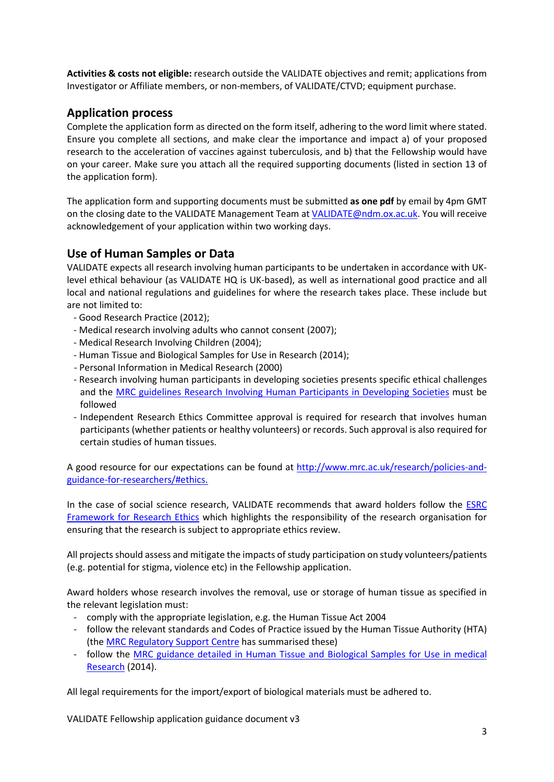**Activities & costs not eligible:** research outside the VALIDATE objectives and remit; applications from Investigator or Affiliate members, or non-members, of VALIDATE/CTVD; equipment purchase.

# **Application process**

Complete the application form as directed on the form itself, adhering to the word limit where stated. Ensure you complete all sections, and make clear the importance and impact a) of your proposed research to the acceleration of vaccines against tuberculosis, and b) that the Fellowship would have on your career. Make sure you attach all the required supporting documents (listed in section 13 of the application form).

The application form and supporting documents must be submitted **as one pdf** by email by 4pm GMT on the closing date to the VALIDATE Management Team at [VALIDATE@ndm.ox.ac.uk.](mailto:VALIDATE@ndm.ox.ac.uk) You will receive acknowledgement of your application within two working days.

# **Use of Human Samples or Data**

VALIDATE expects all research involving human participants to be undertaken in accordance with UKlevel ethical behaviour (as VALIDATE HQ is UK-based), as well as international good practice and all local and national regulations and guidelines for where the research takes place. These include but are not limited to:

- Good Research Practice (2012);
- Medical research involving adults who cannot consent (2007);
- Medical Research Involving Children (2004);
- Human Tissue and Biological Samples for Use in Research (2014);
- Personal Information in Medical Research (2000)
- Research involving human participants in developing societies presents specific ethical challenges and the [MRC guidelines Research Involving Human Participants in Developing Societies](https://www.mrc.ac.uk/publications/browse/research-involving-human-participants-in-developing-societies/) must be followed
- Independent Research Ethics Committee approval is required for research that involves human participants (whether patients or healthy volunteers) or records. Such approval is also required for certain studies of human tissues.

A good resource for our expectations can be found at [http://www.mrc.ac.uk/research/policies-and](http://www.mrc.ac.uk/research/policies-and-guidance-for-researchers/#ethics)[guidance-for-researchers/#ethics.](http://www.mrc.ac.uk/research/policies-and-guidance-for-researchers/#ethics)

In the case of social science research, VALIDATE recommends that award holders follow the **ESRC** [Framework for Research Ethics](http://www.esrc.ac.uk/funding/guidance-for-applicants/research-ethics/) which highlights the responsibility of the research organisation for ensuring that the research is subject to appropriate ethics review.

All projects should assess and mitigate the impacts of study participation on study volunteers/patients (e.g. potential for stigma, violence etc) in the Fellowship application.

Award holders whose research involves the removal, use or storage of human tissue as specified in the relevant legislation must:

- comply with the appropriate legislation, e.g. the Human Tissue Act 2004
- follow the relevant standards and Codes of Practice issued by the Human Tissue Authority (HTA) (the [MRC Regulatory Support Centre](https://www.mrc.ac.uk/research/facilities-and-resources-for-researchers/regulatory-support-centre/) has summarised these)
- follow the MRC guidance detailed in Human Tissue and Biological Samples for Use in medical [Research](https://www.mrc.ac.uk/publications/browse/human-tissue-and-biological-samples-for-use-in-research/) (2014).

All legal requirements for the import/export of biological materials must be adhered to.

VALIDATE Fellowship application guidance document v3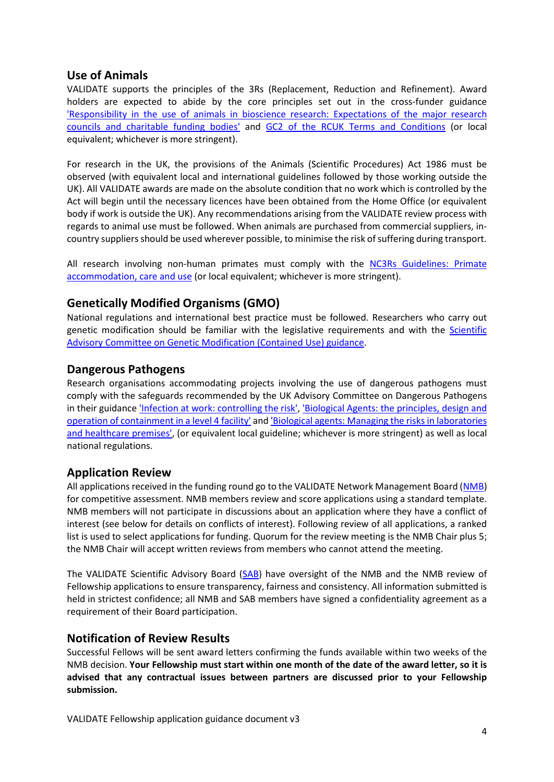### **Use of Animals**

VALIDATE supports the principles of the 3Rs (Replacement, Reduction and Refinement). Award holders are expected to abide by the core principles set out in the cross-funder guidance ['Responsibility in the use of animals in bioscience research: Expectations of the major research](https://www.nc3rs.org.uk/responsibility-use-animals-bioscience-research)  [councils and charitable funding bodies'](https://www.nc3rs.org.uk/responsibility-use-animals-bioscience-research) and [GC2 of the RCUK Terms and Conditions](http://www.rcuk.ac.uk/funding/grantstcs/) (or local equivalent; whichever is more stringent).

For research in the UK, the provisions of the Animals (Scientific Procedures) Act 1986 must be observed (with equivalent local and international guidelines followed by those working outside the UK). All VALIDATE awards are made on the absolute condition that no work which is controlled by the Act will begin until the necessary licences have been obtained from the Home Office (or equivalent body if work is outside the UK). Any recommendations arising from the VALIDATE review process with regards to animal use must be followed. When animals are purchased from commercial suppliers, incountry suppliers should be used wherever possible, to minimise the risk of suffering during transport.

All research involving non-human primates must comply with the NC3Rs Guidelines: Primate [accommodation, care and use \(](https://www.nc3rs.org.uk/non-human-primate-accommodation-care-and-use)or local equivalent; whichever is more stringent).

# **Genetically Modified Organisms (GMO)**

National regulations and international best practice must be followed. Researchers who carry out genetic modification should be familiar with the legislative requirements and with the [Scientific](http://www.hse.gov.uk/aboutus/meetings/committees/sacgmcu/)  [Advisory Committee on Genetic Modification \(Contained Use\) guidance.](http://www.hse.gov.uk/aboutus/meetings/committees/sacgmcu/)

# **Dangerous Pathogens**

Research organisations accommodating projects involving the use of dangerous pathogens must comply with the safeguards recommended by the UK Advisory Committee on Dangerous Pathogens in their guidanc[e 'Infection at work: controlling the risk',](http://www.hse.gov.uk/pubns/infection.pdf) ['Biological Agents: the principles, design and](http://www.hse.gov.uk/pubns/web09.pdf)  [operation of containment in a level 4 facility' a](http://www.hse.gov.uk/pubns/web09.pdf)n[d 'Biological agents: Managing the risks in laboratories](http://www.hse.gov.uk/biosafety/biologagents.pdf)  [and healthcare premises',](http://www.hse.gov.uk/biosafety/biologagents.pdf) (or equivalent local guideline; whichever is more stringent) as well as local national regulations.

#### **Application Review**

All applications received in the funding round go to the VALIDATE Network Management Board [\(NMB\)](http://www.validate-network.org/network-management-board) for competitive assessment. NMB members review and score applications using a standard template. NMB members will not participate in discussions about an application where they have a conflict of interest (see below for details on conflicts of interest). Following review of all applications, a ranked list is used to select applications for funding. Quorum for the review meeting is the NMB Chair plus 5; the NMB Chair will accept written reviews from members who cannot attend the meeting.

The VALIDATE Scientific Advisory Board [\(SAB\)](http://www.validate-network.org/scientific-advisory-board) have oversight of the NMB and the NMB review of Fellowship applications to ensure transparency, fairness and consistency. All information submitted is held in strictest confidence; all NMB and SAB members have signed a confidentiality agreement as a requirement of their Board participation.

#### **Notification of Review Results**

Successful Fellows will be sent award letters confirming the funds available within two weeks of the NMB decision. **Your Fellowship must start within one month of the date of the award letter, so it is advised that any contractual issues between partners are discussed prior to your Fellowship submission.**